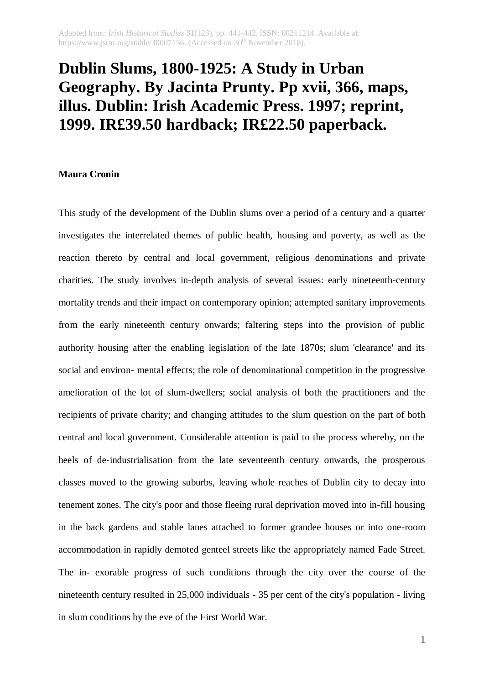## **Dublin Slums, 1800-1925: A Study in Urban Geography. By Jacinta Prunty. Pp xvii, 366, maps, illus. Dublin: Irish Academic Press. 1997; reprint, 1999. IR£39.50 hardback; IR£22.50 paperback.**

## **Maura Cronin**

This study of the development of the Dublin slums over a period of a century and a quarter investigates the interrelated themes of public health, housing and poverty, as well as the reaction thereto by central and local government, religious denominations and private charities. The study involves in-depth analysis of several issues: early nineteenth-century mortality trends and their impact on contemporary opinion; attempted sanitary improvements from the early nineteenth century onwards; faltering steps into the provision of public authority housing after the enabling legislation of the late 1870s; slum 'clearance' and its social and environ- mental effects; the role of denominational competition in the progressive amelioration of the lot of slum-dwellers; social analysis of both the practitioners and the recipients of private charity; and changing attitudes to the slum question on the part of both central and local government. Considerable attention is paid to the process whereby, on the heels of de-industrialisation from the late seventeenth century onwards, the prosperous classes moved to the growing suburbs, leaving whole reaches of Dublin city to decay into tenement zones. The city's poor and those fleeing rural deprivation moved into in-fill housing in the back gardens and stable lanes attached to former grandee houses or into one-room accommodation in rapidly demoted genteel streets like the appropriately named Fade Street. The in- exorable progress of such conditions through the city over the course of the nineteenth century resulted in 25,000 individuals - 35 per cent of the city's population - living in slum conditions by the eve of the First World War.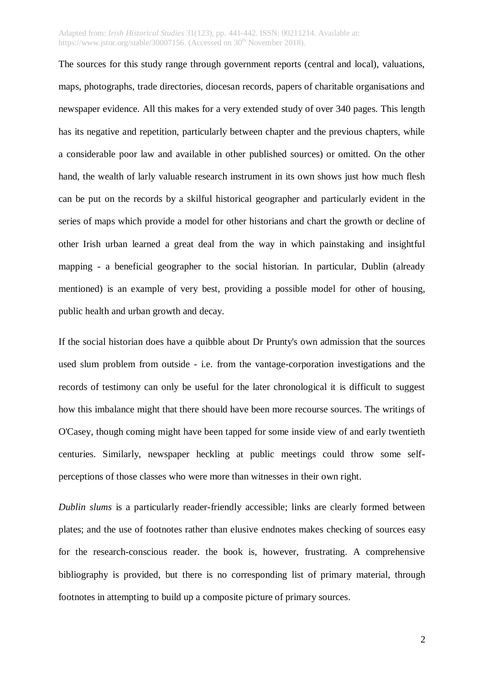## Adapted from: *Irish Historical Studies* 31(123), pp. 441-442. ISSN: 00211214. Available at: https://www.jstor.org/stable/30007156. (Accessed on  $30<sup>th</sup>$  November 2018).

The sources for this study range through government reports (central and local), valuations, maps, photographs, trade directories, diocesan records, papers of charitable organisations and newspaper evidence. All this makes for a very extended study of over 340 pages. This length has its negative and repetition, particularly between chapter and the previous chapters, while a considerable poor law and available in other published sources) or omitted. On the other hand, the wealth of larly valuable research instrument in its own shows just how much flesh can be put on the records by a skilful historical geographer and particularly evident in the series of maps which provide a model for other historians and chart the growth or decline of other Irish urban learned a great deal from the way in which painstaking and insightful mapping - a beneficial geographer to the social historian. In particular, Dublin (already mentioned) is an example of very best, providing a possible model for other of housing, public health and urban growth and decay.

If the social historian does have a quibble about Dr Prunty's own admission that the sources used slum problem from outside - i.e. from the vantage-corporation investigations and the records of testimony can only be useful for the later chronological it is difficult to suggest how this imbalance might that there should have been more recourse sources. The writings of O'Casey, though coming might have been tapped for some inside view of and early twentieth centuries. Similarly, newspaper heckling at public meetings could throw some selfperceptions of those classes who were more than witnesses in their own right.

*Dublin slums* is a particularly reader-friendly accessible; links are clearly formed between plates; and the use of footnotes rather than elusive endnotes makes checking of sources easy for the research-conscious reader. the book is, however, frustrating. A comprehensive bibliography is provided, but there is no corresponding list of primary material, through footnotes in attempting to build up a composite picture of primary sources.